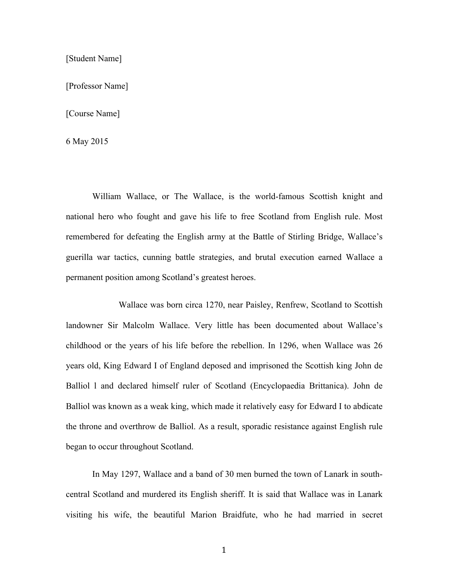[Student Name]

[Professor Name]

[Course Name]

6 May 2015

William Wallace, or The Wallace, is the world-famous Scottish knight and national hero who fought and gave his life to free Scotland from English rule. Most remembered for defeating the English army at the Battle of Stirling Bridge, Wallace's guerilla war tactics, cunning battle strategies, and brutal execution earned Wallace a permanent position among Scotland's greatest heroes.

Wallace was born circa 1270, near Paisley, Renfrew, Scotland to Scottish landowner Sir Malcolm Wallace. Very little has been documented about Wallace's childhood or the years of his life before the rebellion. In 1296, when Wallace was 26 years old, King Edward I of England deposed and imprisoned the Scottish king John de Balliol l and declared himself ruler of Scotland (Encyclopaedia Brittanica). John de Balliol was known as a weak king, which made it relatively easy for Edward I to abdicate the throne and overthrow de Balliol. As a result, sporadic resistance against English rule began to occur throughout Scotland.

In May 1297, Wallace and a band of 30 men burned the town of Lanark in southcentral Scotland and murdered its English sheriff. It is said that Wallace was in Lanark visiting his wife, the beautiful Marion Braidfute, who he had married in secret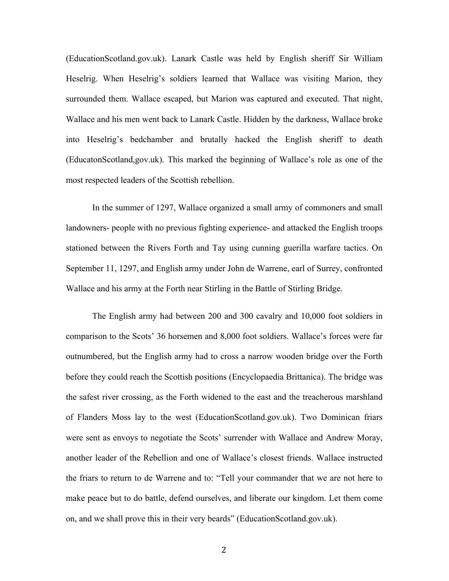(EducationScotland.gov.uk). Lanark Castle was held by English sheriff Sir William Heselrig. When Heselrig's soldiers learned that Wallace was visiting Marion, they surrounded them. Wallace escaped, but Marion was captured and executed. That night, Wallace and his men went back to Lanark Castle. Hidden by the darkness, Wallace broke into Heselrig's bedchamber and brutally hacked the English sheriff to death (EducatonScotland,gov.uk). This marked the beginning of Wallace's role as one of the most respected leaders of the Scottish rebellion.

In the summer of 1297, Wallace organized a small army of commoners and small landowners- people with no previous fighting experience- and attacked the English troops stationed between the Rivers Forth and Tay using cunning guerilla warfare tactics. On September 11, 1297, and English army under John de Warrene, earl of Surrey, confronted Wallace and his army at the Forth near Stirling in the Battle of Stirling Bridge.

The English army had between 200 and 300 cavalry and 10,000 foot soldiers in comparison to the Scots' 36 horsemen and 8,000 foot soldiers. Wallace's forces were far outnumbered, but the English army had to cross a narrow wooden bridge over the Forth before they could reach the Scottish positions (Encyclopaedia Brittanica). The bridge was the safest river crossing, as the Forth widened to the east and the treacherous marshland of Flanders Moss lay to the west (EducationScotland.gov.uk). Two Dominican friars were sent as envoys to negotiate the Scots' surrender with Wallace and Andrew Moray, another leader of the Rebellion and one of Wallace's closest friends. Wallace instructed the friars to return to de Warrene and to: "Tell your commander that we are not here to make peace but to do battle, defend ourselves, and liberate our kingdom. Let them come on, and we shall prove this in their very beards" (EducationScotland.gov.uk).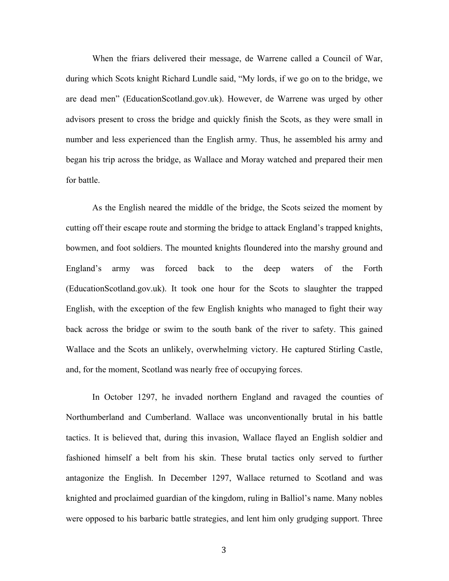When the friars delivered their message, de Warrene called a Council of War, during which Scots knight Richard Lundle said, "My lords, if we go on to the bridge, we are dead men" (EducationScotland.gov.uk). However, de Warrene was urged by other advisors present to cross the bridge and quickly finish the Scots, as they were small in number and less experienced than the English army. Thus, he assembled his army and began his trip across the bridge, as Wallace and Moray watched and prepared their men for battle.

As the English neared the middle of the bridge, the Scots seized the moment by cutting off their escape route and storming the bridge to attack England's trapped knights, bowmen, and foot soldiers. The mounted knights floundered into the marshy ground and England's army was forced back to the deep waters of the Forth (EducationScotland.gov.uk). It took one hour for the Scots to slaughter the trapped English, with the exception of the few English knights who managed to fight their way back across the bridge or swim to the south bank of the river to safety. This gained Wallace and the Scots an unlikely, overwhelming victory. He captured Stirling Castle, and, for the moment, Scotland was nearly free of occupying forces.

In October 1297, he invaded northern England and ravaged the counties of Northumberland and Cumberland. Wallace was unconventionally brutal in his battle tactics. It is believed that, during this invasion, Wallace flayed an English soldier and fashioned himself a belt from his skin. These brutal tactics only served to further antagonize the English. In December 1297, Wallace returned to Scotland and was knighted and proclaimed guardian of the kingdom, ruling in Balliol's name. Many nobles were opposed to his barbaric battle strategies, and lent him only grudging support. Three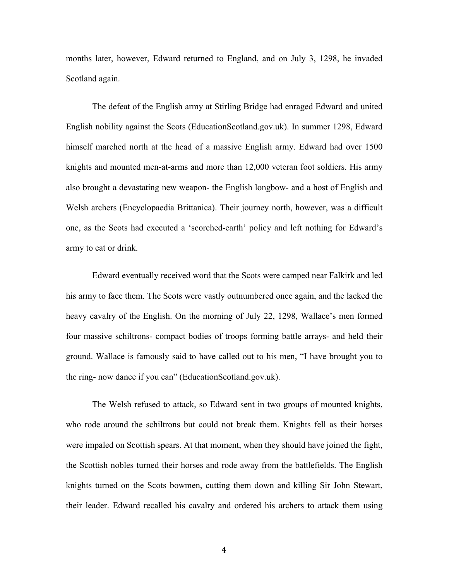months later, however, Edward returned to England, and on July 3, 1298, he invaded Scotland again.

The defeat of the English army at Stirling Bridge had enraged Edward and united English nobility against the Scots (EducationScotland.gov.uk). In summer 1298, Edward himself marched north at the head of a massive English army. Edward had over 1500 knights and mounted men-at-arms and more than 12,000 veteran foot soldiers. His army also brought a devastating new weapon- the English longbow- and a host of English and Welsh archers (Encyclopaedia Brittanica). Their journey north, however, was a difficult one, as the Scots had executed a 'scorched-earth' policy and left nothing for Edward's army to eat or drink.

Edward eventually received word that the Scots were camped near Falkirk and led his army to face them. The Scots were vastly outnumbered once again, and the lacked the heavy cavalry of the English. On the morning of July 22, 1298, Wallace's men formed four massive schiltrons- compact bodies of troops forming battle arrays- and held their ground. Wallace is famously said to have called out to his men, "I have brought you to the ring- now dance if you can" (EducationScotland.gov.uk).

The Welsh refused to attack, so Edward sent in two groups of mounted knights, who rode around the schiltrons but could not break them. Knights fell as their horses were impaled on Scottish spears. At that moment, when they should have joined the fight, the Scottish nobles turned their horses and rode away from the battlefields. The English knights turned on the Scots bowmen, cutting them down and killing Sir John Stewart, their leader. Edward recalled his cavalry and ordered his archers to attack them using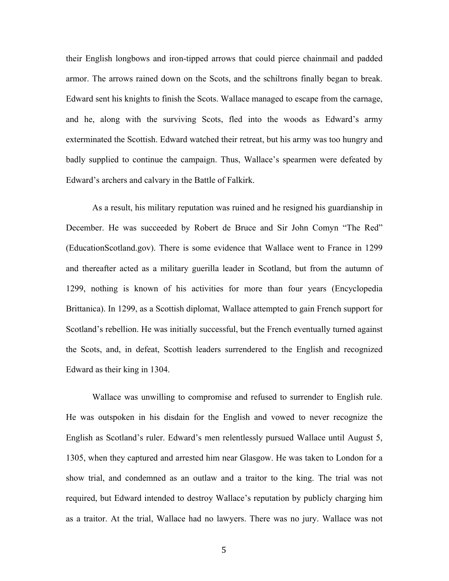their English longbows and iron-tipped arrows that could pierce chainmail and padded armor. The arrows rained down on the Scots, and the schiltrons finally began to break. Edward sent his knights to finish the Scots. Wallace managed to escape from the carnage, and he, along with the surviving Scots, fled into the woods as Edward's army exterminated the Scottish. Edward watched their retreat, but his army was too hungry and badly supplied to continue the campaign. Thus, Wallace's spearmen were defeated by Edward's archers and calvary in the Battle of Falkirk.

As a result, his military reputation was ruined and he resigned his guardianship in December. He was succeeded by Robert de Bruce and Sir John Comyn "The Red" (EducationScotland.gov). There is some evidence that Wallace went to France in 1299 and thereafter acted as a military guerilla leader in Scotland, but from the autumn of 1299, nothing is known of his activities for more than four years (Encyclopedia Brittanica). In 1299, as a Scottish diplomat, Wallace attempted to gain French support for Scotland's rebellion. He was initially successful, but the French eventually turned against the Scots, and, in defeat, Scottish leaders surrendered to the English and recognized Edward as their king in 1304.

Wallace was unwilling to compromise and refused to surrender to English rule. He was outspoken in his disdain for the English and vowed to never recognize the English as Scotland's ruler. Edward's men relentlessly pursued Wallace until August 5, 1305, when they captured and arrested him near Glasgow. He was taken to London for a show trial, and condemned as an outlaw and a traitor to the king. The trial was not required, but Edward intended to destroy Wallace's reputation by publicly charging him as a traitor. At the trial, Wallace had no lawyers. There was no jury. Wallace was not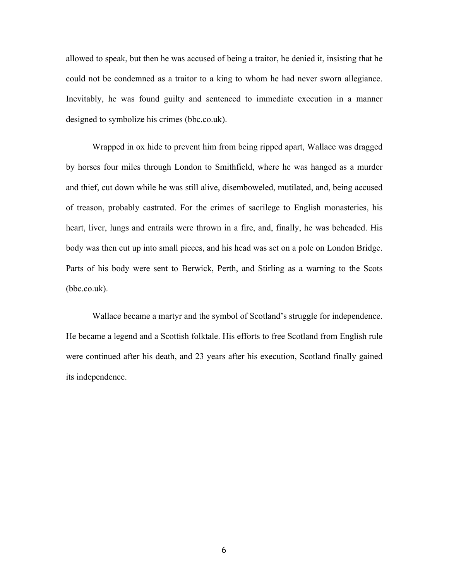allowed to speak, but then he was accused of being a traitor, he denied it, insisting that he could not be condemned as a traitor to a king to whom he had never sworn allegiance. Inevitably, he was found guilty and sentenced to immediate execution in a manner designed to symbolize his crimes (bbc.co.uk).

Wrapped in ox hide to prevent him from being ripped apart, Wallace was dragged by horses four miles through London to Smithfield, where he was hanged as a murder and thief, cut down while he was still alive, disemboweled, mutilated, and, being accused of treason, probably castrated. For the crimes of sacrilege to English monasteries, his heart, liver, lungs and entrails were thrown in a fire, and, finally, he was beheaded. His body was then cut up into small pieces, and his head was set on a pole on London Bridge. Parts of his body were sent to Berwick, Perth, and Stirling as a warning to the Scots (bbc.co.uk).

Wallace became a martyr and the symbol of Scotland's struggle for independence. He became a legend and a Scottish folktale. His efforts to free Scotland from English rule were continued after his death, and 23 years after his execution, Scotland finally gained its independence.